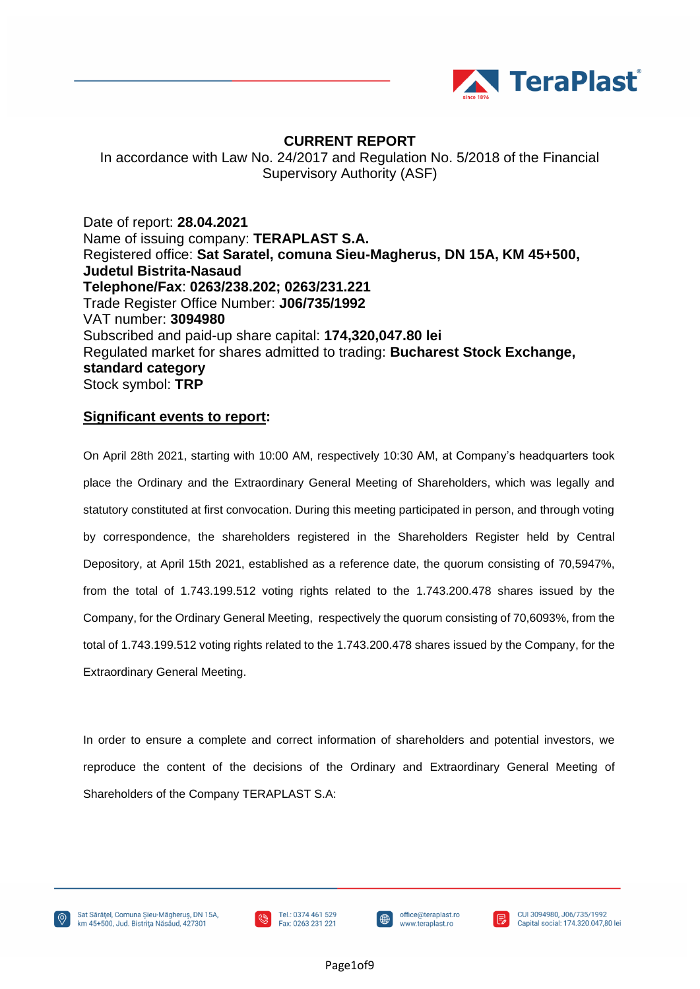

### **CURRENT REPORT**

In accordance with Law No. 24/2017 and Regulation No. 5/2018 of the Financial Supervisory Authority (ASF)

Date of report: **28.04.2021** Name of issuing company: **TERAPLAST S.A.** Registered office: **Sat Saratel, comuna Sieu-Magherus, DN 15A, KM 45+500, Judetul Bistrita-Nasaud Telephone/Fax**: **0263/238.202; 0263/231.221** Trade Register Office Number: **J06/735/1992** VAT number: **3094980** Subscribed and paid-up share capital: **174,320,047.80 lei** Regulated market for shares admitted to trading: **Bucharest Stock Exchange, standard category** Stock symbol: **TRP**

### **Significant events to report:**

On April 28th 2021, starting with 10:00 AM, respectively 10:30 AM, at Company's headquarters took place the Ordinary and the Extraordinary General Meeting of Shareholders, which was legally and statutory constituted at first convocation. During this meeting participated in person, and through voting by correspondence, the shareholders registered in the Shareholders Register held by Central Depository, at April 15th 2021, established as a reference date, the quorum consisting of 70,5947%, from the total of 1.743.199.512 voting rights related to the 1.743.200.478 shares issued by the Company, for the Ordinary General Meeting, respectively the quorum consisting of 70,6093%, from the total of 1.743.199.512 voting rights related to the 1.743.200.478 shares issued by the Company, for the Extraordinary General Meeting.

In order to ensure a complete and correct information of shareholders and potential investors, we reproduce the content of the decisions of the Ordinary and Extraordinary General Meeting of Shareholders of the Company TERAPLAST S.A:







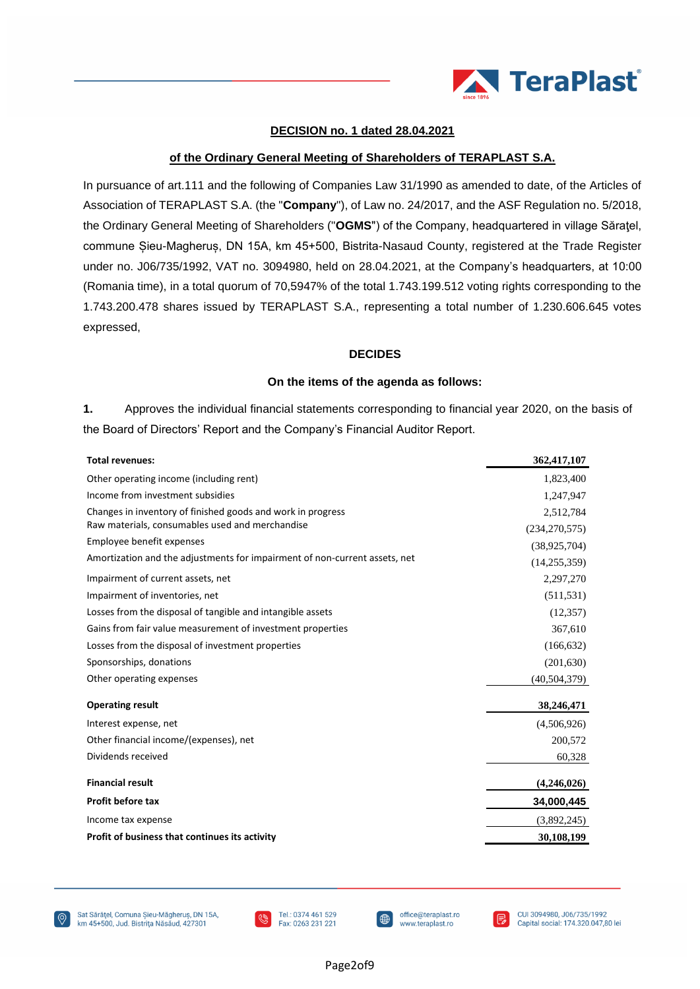

### **DECISION no. 1 dated 28.04.2021**

### **of the Ordinary General Meeting of Shareholders of TERAPLAST S.A.**

In pursuance of art.111 and the following of Companies Law 31/1990 as amended to date, of the Articles of Association of TERAPLAST S.A. (the "**Company**"), of Law no. 24/2017, and the ASF Regulation no. 5/2018, the Ordinary General Meeting of Shareholders ("**OGMS**") of the Company, headquartered in village Săraţel, commune Șieu-Magheruș, DN 15A, km 45+500, Bistrita-Nasaud County, registered at the Trade Register under no. J06/735/1992, VAT no. 3094980, held on 28.04.2021, at the Company's headquarters, at 10:00 (Romania time), in a total quorum of 70,5947% of the total 1.743.199.512 voting rights corresponding to the 1.743.200.478 shares issued by TERAPLAST S.A., representing a total number of 1.230.606.645 votes expressed,

#### **DECIDES**

#### **On the items of the agenda as follows:**

**1.** Approves the individual financial statements corresponding to financial year 2020, on the basis of the Board of Directors' Report and the Company's Financial Auditor Report.

| <b>Total revenues:</b>                                                     | 362,417,107     |
|----------------------------------------------------------------------------|-----------------|
| Other operating income (including rent)                                    | 1,823,400       |
| Income from investment subsidies                                           | 1,247,947       |
| Changes in inventory of finished goods and work in progress                | 2,512,784       |
| Raw materials, consumables used and merchandise                            | (234, 270, 575) |
| Employee benefit expenses                                                  | (38, 925, 704)  |
| Amortization and the adjustments for impairment of non-current assets, net | (14,255,359)    |
| Impairment of current assets, net                                          | 2,297,270       |
| Impairment of inventories, net                                             | (511, 531)      |
| Losses from the disposal of tangible and intangible assets                 | (12, 357)       |
| Gains from fair value measurement of investment properties                 | 367,610         |
| Losses from the disposal of investment properties                          | (166, 632)      |
| Sponsorships, donations                                                    | (201, 630)      |
| Other operating expenses                                                   | (40, 504, 379)  |
| <b>Operating result</b>                                                    | 38,246,471      |
| Interest expense, net                                                      | (4,506,926)     |
| Other financial income/(expenses), net                                     | 200,572         |
| Dividends received                                                         | 60,328          |
| <b>Financial result</b>                                                    | (4,246,026)     |
| <b>Profit before tax</b>                                                   | 34,000,445      |
| Income tax expense                                                         | (3,892,245)     |
| Profit of business that continues its activity                             | 30,108,199      |



office@teraplast.ro  $\bigoplus$ www.teraplast.ro

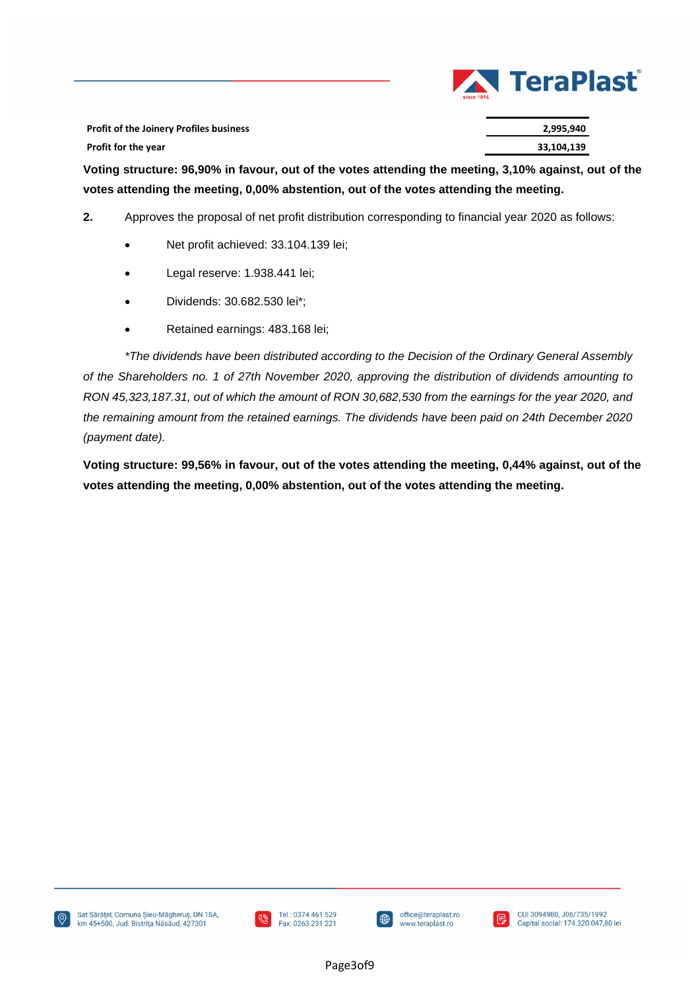

**Profit of the Joinery Profiles business 2,995,940 Profit for the year 33,104,139**

**Voting structure: 96,90% in favour, out of the votes attending the meeting, 3,10% against, out of the votes attending the meeting, 0,00% abstention, out of the votes attending the meeting.**

**2.** Approves the proposal of net profit distribution corresponding to financial year 2020 as follows:

- Net profit achieved: 33.104.139 lei;
- Legal reserve: 1.938.441 lei;
- Dividends: 30.682.530 lei\*;
- Retained earnings: 483.168 lei;

*\*The dividends have been distributed according to the Decision of the Ordinary General Assembly of the Shareholders no. 1 of 27th November 2020, approving the distribution of dividends amounting to RON 45,323,187.31, out of which the amount of RON 30,682,530 from the earnings for the year 2020, and the remaining amount from the retained earnings. The dividends have been paid on 24th December 2020 (payment date).*

**Voting structure: 99,56% in favour, out of the votes attending the meeting, 0,44% against, out of the votes attending the meeting, 0,00% abstention, out of the votes attending the meeting.**







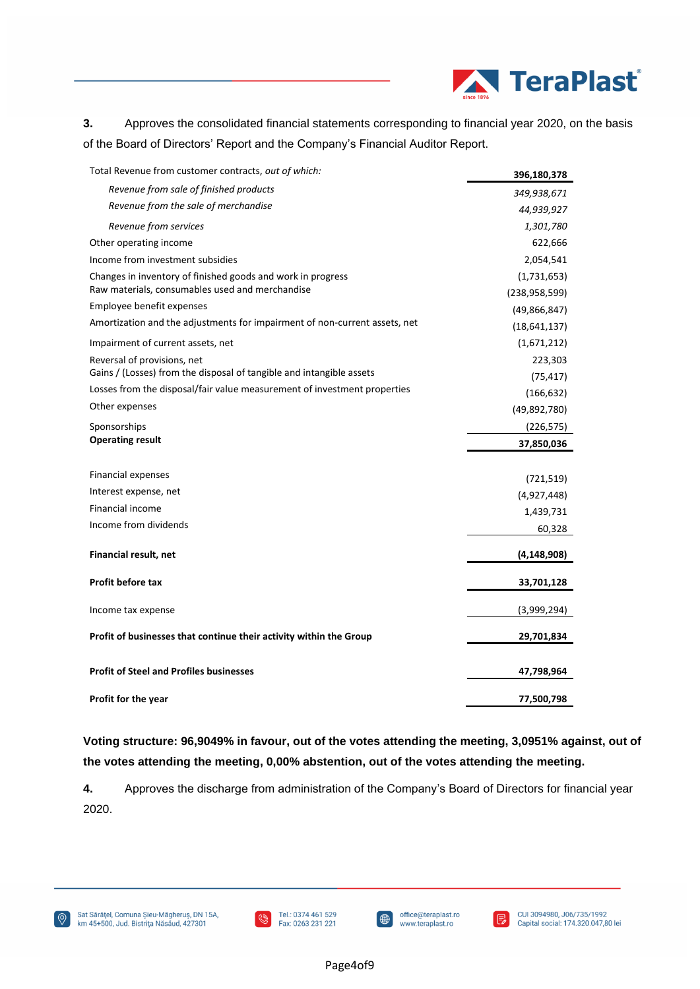

**3.** Approves the consolidated financial statements corresponding to financial year 2020, on the basis of the Board of Directors' Report and the Company's Financial Auditor Report.

| Total Revenue from customer contracts, out of which:                                                           | 396,180,378                    |
|----------------------------------------------------------------------------------------------------------------|--------------------------------|
| Revenue from sale of finished products                                                                         | 349,938,671                    |
| Revenue from the sale of merchandise                                                                           | 44,939,927                     |
| Revenue from services                                                                                          | 1,301,780                      |
| Other operating income                                                                                         | 622,666                        |
| Income from investment subsidies                                                                               | 2,054,541                      |
| Changes in inventory of finished goods and work in progress<br>Raw materials, consumables used and merchandise | (1,731,653)<br>(238, 958, 599) |
| Employee benefit expenses                                                                                      | (49,866,847)                   |
| Amortization and the adjustments for impairment of non-current assets, net                                     | (18,641,137)                   |
| Impairment of current assets, net                                                                              | (1,671,212)                    |
| Reversal of provisions, net                                                                                    | 223,303                        |
| Gains / (Losses) from the disposal of tangible and intangible assets                                           | (75, 417)                      |
| Losses from the disposal/fair value measurement of investment properties                                       | (166, 632)                     |
| Other expenses                                                                                                 | (49,892,780)                   |
| Sponsorships                                                                                                   | (226, 575)                     |
| <b>Operating result</b>                                                                                        | 37,850,036                     |
|                                                                                                                |                                |
| <b>Financial expenses</b>                                                                                      | (721, 519)                     |
| Interest expense, net                                                                                          | (4,927,448)                    |
| <b>Financial income</b>                                                                                        | 1,439,731                      |
| Income from dividends                                                                                          | 60,328                         |
| <b>Financial result, net</b>                                                                                   | (4, 148, 908)                  |
| <b>Profit before tax</b>                                                                                       | 33,701,128                     |
| Income tax expense                                                                                             | (3,999,294)                    |
| Profit of businesses that continue their activity within the Group                                             | 29,701,834                     |
| <b>Profit of Steel and Profiles businesses</b>                                                                 | 47,798,964                     |
| <b>Profit for the year</b>                                                                                     | 77,500,798                     |

**Voting structure: 96,9049% in favour, out of the votes attending the meeting, 3,0951% against, out of the votes attending the meeting, 0,00% abstention, out of the votes attending the meeting.**

**4.** Approves the discharge from administration of the Company's Board of Directors for financial year 2020.







**B** 

Page4of9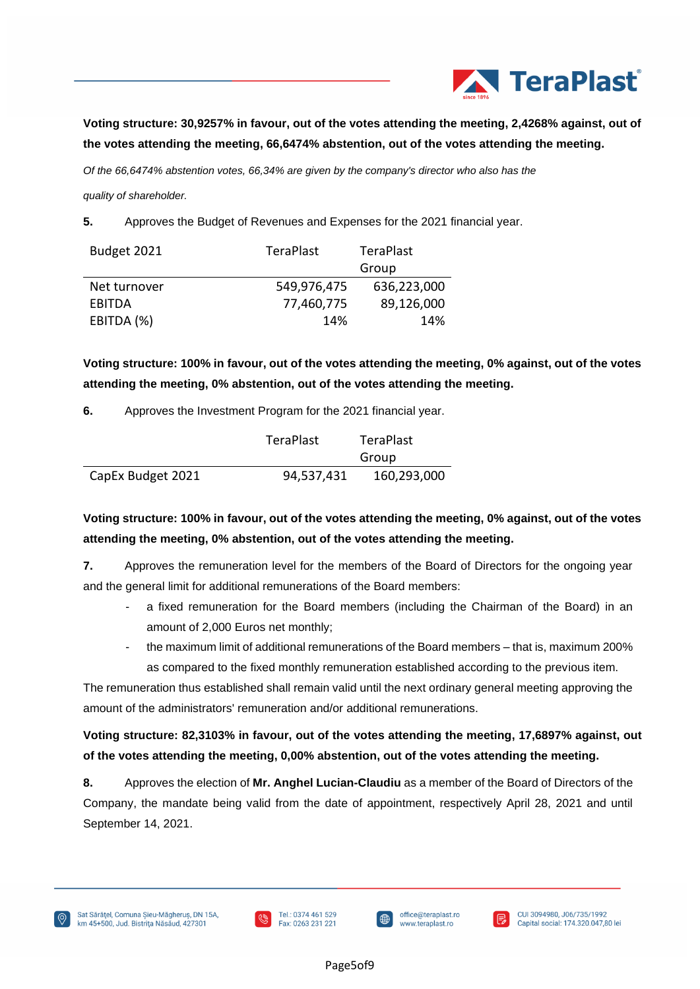

**Voting structure: 30,9257% in favour, out of the votes attending the meeting, 2,4268% against, out of the votes attending the meeting, 66,6474% abstention, out of the votes attending the meeting.**

*Of the 66,6474% abstention votes, 66,34% are given by the company's director who also has the quality of shareholder.*

**5.** Approves the Budget of Revenues and Expenses for the 2021 financial year.

| Budget 2021  | <b>TeraPlast</b> | <b>TeraPlast</b> |
|--------------|------------------|------------------|
|              |                  | Group            |
| Net turnover | 549,976,475      | 636,223,000      |
| EBITDA       | 77,460,775       | 89,126,000       |
| EBITDA (%)   | 14%              | 14%              |

**Voting structure: 100% in favour, out of the votes attending the meeting, 0% against, out of the votes attending the meeting, 0% abstention, out of the votes attending the meeting.**

**6.** Approves the Investment Program for the 2021 financial year.

|                   | <b>TeraPlast</b> | <b>TeraPlast</b> |
|-------------------|------------------|------------------|
|                   |                  | Group            |
| CapEx Budget 2021 | 94,537,431       | 160,293,000      |

**Voting structure: 100% in favour, out of the votes attending the meeting, 0% against, out of the votes attending the meeting, 0% abstention, out of the votes attending the meeting.**

**7.** Approves the remuneration level for the members of the Board of Directors for the ongoing year and the general limit for additional remunerations of the Board members:

- a fixed remuneration for the Board members (including the Chairman of the Board) in an amount of 2,000 Euros net monthly;
- the maximum limit of additional remunerations of the Board members that is, maximum 200% as compared to the fixed monthly remuneration established according to the previous item.

The remuneration thus established shall remain valid until the next ordinary general meeting approving the amount of the administrators' remuneration and/or additional remunerations.

# **Voting structure: 82,3103% in favour, out of the votes attending the meeting, 17,6897% against, out of the votes attending the meeting, 0,00% abstention, out of the votes attending the meeting.**

**8.** Approves the election of **Mr. Anghel Lucian-Claudiu** as a member of the Board of Directors of the Company, the mandate being valid from the date of appointment, respectively April 28, 2021 and until September 14, 2021.



। ∰



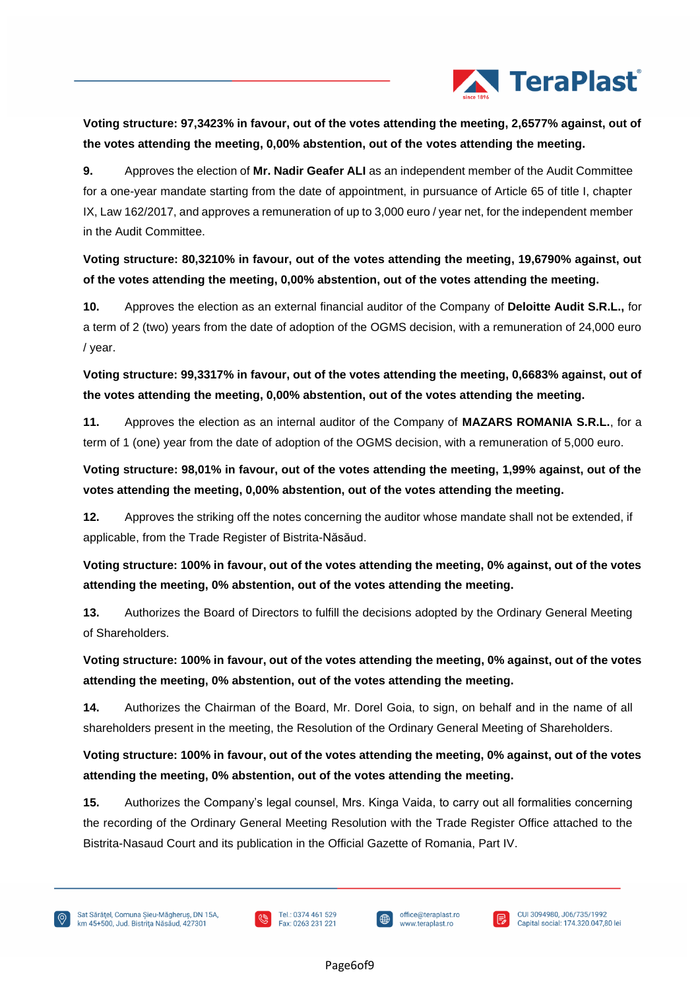

# **Voting structure: 97,3423% in favour, out of the votes attending the meeting, 2,6577% against, out of the votes attending the meeting, 0,00% abstention, out of the votes attending the meeting.**

**9.** Approves the election of **Mr. Nadir Geafer ALI** as an independent member of the Audit Committee for a one-year mandate starting from the date of appointment, in pursuance of Article 65 of title I, chapter IX, Law 162/2017, and approves a remuneration of up to 3,000 euro / year net, for the independent member in the Audit Committee.

**Voting structure: 80,3210% in favour, out of the votes attending the meeting, 19,6790% against, out of the votes attending the meeting, 0,00% abstention, out of the votes attending the meeting.**

**10.** Approves the election as an external financial auditor of the Company of **Deloitte Audit S.R.L.,** for a term of 2 (two) years from the date of adoption of the OGMS decision, with a remuneration of 24,000 euro / year.

**Voting structure: 99,3317% in favour, out of the votes attending the meeting, 0,6683% against, out of the votes attending the meeting, 0,00% abstention, out of the votes attending the meeting.**

**11.** Approves the election as an internal auditor of the Company of **MAZARS ROMANIA S.R.L.**, for a term of 1 (one) year from the date of adoption of the OGMS decision, with a remuneration of 5,000 euro.

**Voting structure: 98,01% in favour, out of the votes attending the meeting, 1,99% against, out of the votes attending the meeting, 0,00% abstention, out of the votes attending the meeting.**

**12.** Approves the striking off the notes concerning the auditor whose mandate shall not be extended, if applicable, from the Trade Register of Bistrita-Năsăud.

**Voting structure: 100% in favour, out of the votes attending the meeting, 0% against, out of the votes attending the meeting, 0% abstention, out of the votes attending the meeting.**

**13.** Authorizes the Board of Directors to fulfill the decisions adopted by the Ordinary General Meeting of Shareholders.

**Voting structure: 100% in favour, out of the votes attending the meeting, 0% against, out of the votes attending the meeting, 0% abstention, out of the votes attending the meeting.**

**14.** Authorizes the Chairman of the Board, Mr. Dorel Goia, to sign, on behalf and in the name of all shareholders present in the meeting, the Resolution of the Ordinary General Meeting of Shareholders.

**Voting structure: 100% in favour, out of the votes attending the meeting, 0% against, out of the votes attending the meeting, 0% abstention, out of the votes attending the meeting.**

**15.** Authorizes the Company's legal counsel, Mrs. Kinga Vaida, to carry out all formalities concerning the recording of the Ordinary General Meeting Resolution with the Trade Register Office attached to the Bistrita-Nasaud Court and its publication in the Official Gazette of Romania, Part IV.





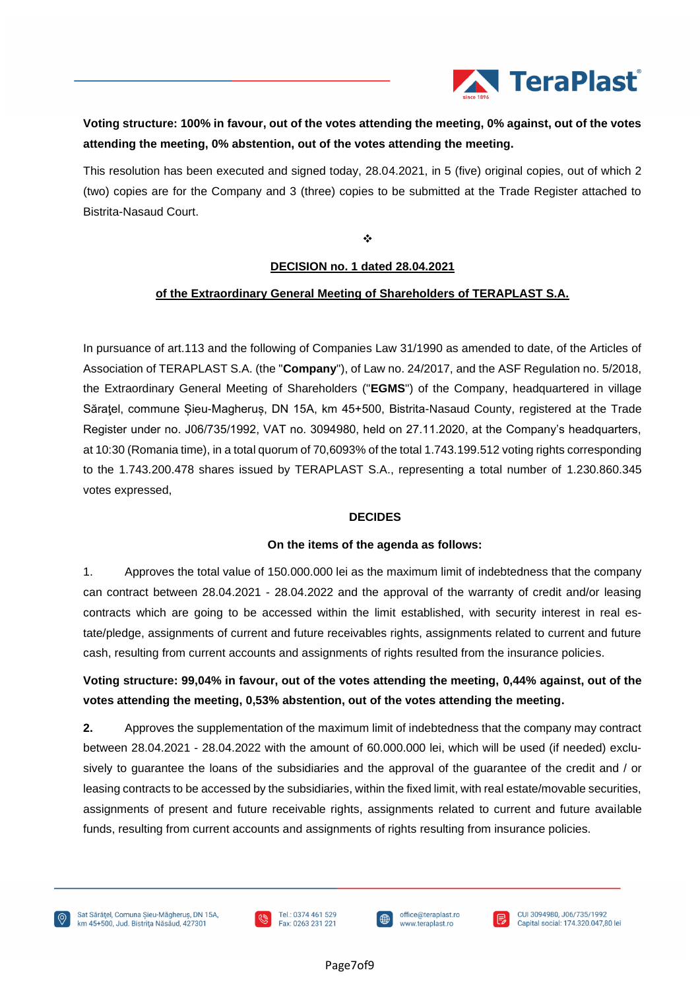

# **Voting structure: 100% in favour, out of the votes attending the meeting, 0% against, out of the votes attending the meeting, 0% abstention, out of the votes attending the meeting.**

This resolution has been executed and signed today, 28.04.2021, in 5 (five) original copies, out of which 2 (two) copies are for the Company and 3 (three) copies to be submitted at the Trade Register attached to Bistrita-Nasaud Court.

❖

### **DECISION no. 1 dated 28.04.2021**

### **of the Extraordinary General Meeting of Shareholders of TERAPLAST S.A.**

In pursuance of art.113 and the following of Companies Law 31/1990 as amended to date, of the Articles of Association of TERAPLAST S.A. (the "**Company**"), of Law no. 24/2017, and the ASF Regulation no. 5/2018, the Extraordinary General Meeting of Shareholders ("**EGMS**") of the Company, headquartered in village Săraţel, commune Șieu-Magheruș, DN 15A, km 45+500, Bistrita-Nasaud County, registered at the Trade Register under no. J06/735/1992, VAT no. 3094980, held on 27.11.2020, at the Company's headquarters, at 10:30 (Romania time), in a total quorum of 70,6093% of the total 1.743.199.512 voting rights corresponding to the 1.743.200.478 shares issued by TERAPLAST S.A., representing a total number of 1.230.860.345 votes expressed,

### **DECIDES**

### **On the items of the agenda as follows:**

1. Approves the total value of 150.000.000 lei as the maximum limit of indebtedness that the company can contract between 28.04.2021 - 28.04.2022 and the approval of the warranty of credit and/or leasing contracts which are going to be accessed within the limit established, with security interest in real estate/pledge, assignments of current and future receivables rights, assignments related to current and future cash, resulting from current accounts and assignments of rights resulted from the insurance policies.

# **Voting structure: 99,04% in favour, out of the votes attending the meeting, 0,44% against, out of the votes attending the meeting, 0,53% abstention, out of the votes attending the meeting.**

**2.** Approves the supplementation of the maximum limit of indebtedness that the company may contract between 28.04.2021 - 28.04.2022 with the amount of 60.000.000 lei, which will be used (if needed) exclusively to guarantee the loans of the subsidiaries and the approval of the guarantee of the credit and / or leasing contracts to be accessed by the subsidiaries, within the fixed limit, with real estate/movable securities, assignments of present and future receivable rights, assignments related to current and future available funds, resulting from current accounts and assignments of rights resulting from insurance policies.





 $\bigoplus$ 

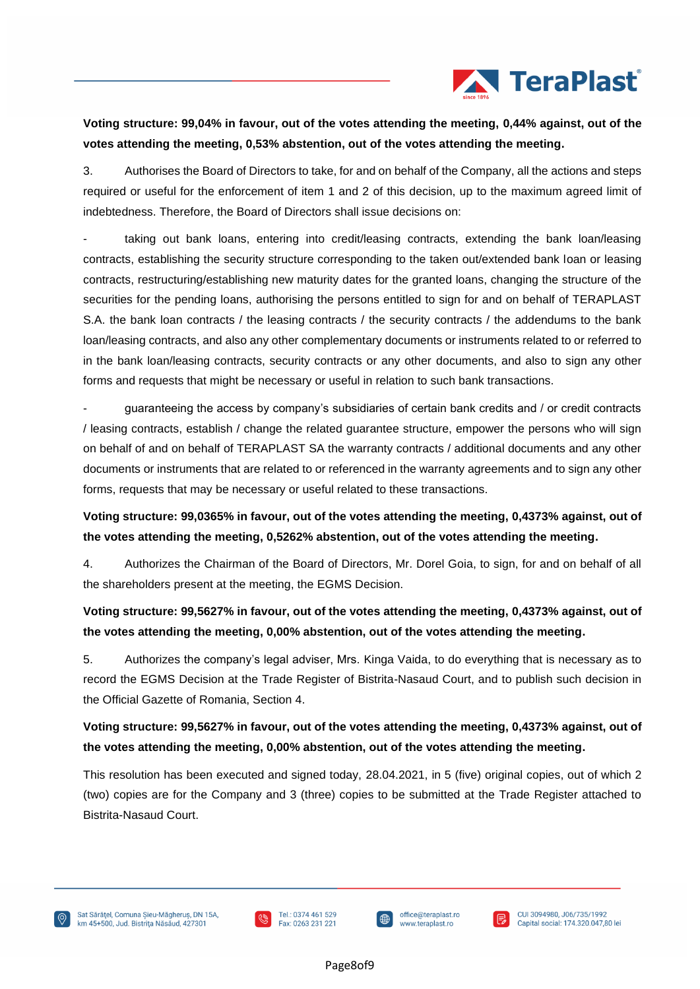

# **Voting structure: 99,04% in favour, out of the votes attending the meeting, 0,44% against, out of the votes attending the meeting, 0,53% abstention, out of the votes attending the meeting.**

3. Authorises the Board of Directors to take, for and on behalf of the Company, all the actions and steps required or useful for the enforcement of item 1 and 2 of this decision, up to the maximum agreed limit of indebtedness. Therefore, the Board of Directors shall issue decisions on:

taking out bank loans, entering into credit/leasing contracts, extending the bank loan/leasing contracts, establishing the security structure corresponding to the taken out/extended bank loan or leasing contracts, restructuring/establishing new maturity dates for the granted loans, changing the structure of the securities for the pending loans, authorising the persons entitled to sign for and on behalf of TERAPLAST S.A. the bank loan contracts / the leasing contracts / the security contracts / the addendums to the bank loan/leasing contracts, and also any other complementary documents or instruments related to or referred to in the bank loan/leasing contracts, security contracts or any other documents, and also to sign any other forms and requests that might be necessary or useful in relation to such bank transactions.

- guaranteeing the access by company's subsidiaries of certain bank credits and / or credit contracts / leasing contracts, establish / change the related guarantee structure, empower the persons who will sign on behalf of and on behalf of TERAPLAST SA the warranty contracts / additional documents and any other documents or instruments that are related to or referenced in the warranty agreements and to sign any other forms, requests that may be necessary or useful related to these transactions.

# **Voting structure: 99,0365% in favour, out of the votes attending the meeting, 0,4373% against, out of the votes attending the meeting, 0,5262% abstention, out of the votes attending the meeting.**

4. Authorizes the Chairman of the Board of Directors, Mr. Dorel Goia, to sign, for and on behalf of all the shareholders present at the meeting, the EGMS Decision.

# **Voting structure: 99,5627% in favour, out of the votes attending the meeting, 0,4373% against, out of the votes attending the meeting, 0,00% abstention, out of the votes attending the meeting.**

5. Authorizes the company's legal adviser, Mrs. Kinga Vaida, to do everything that is necessary as to record the EGMS Decision at the Trade Register of Bistrita-Nasaud Court, and to publish such decision in the Official Gazette of Romania, Section 4.

# **Voting structure: 99,5627% in favour, out of the votes attending the meeting, 0,4373% against, out of the votes attending the meeting, 0,00% abstention, out of the votes attending the meeting.**

This resolution has been executed and signed today, 28.04.2021, in 5 (five) original copies, out of which 2 (two) copies are for the Company and 3 (three) copies to be submitted at the Trade Register attached to Bistrita-Nasaud Court.





 $\bigoplus$